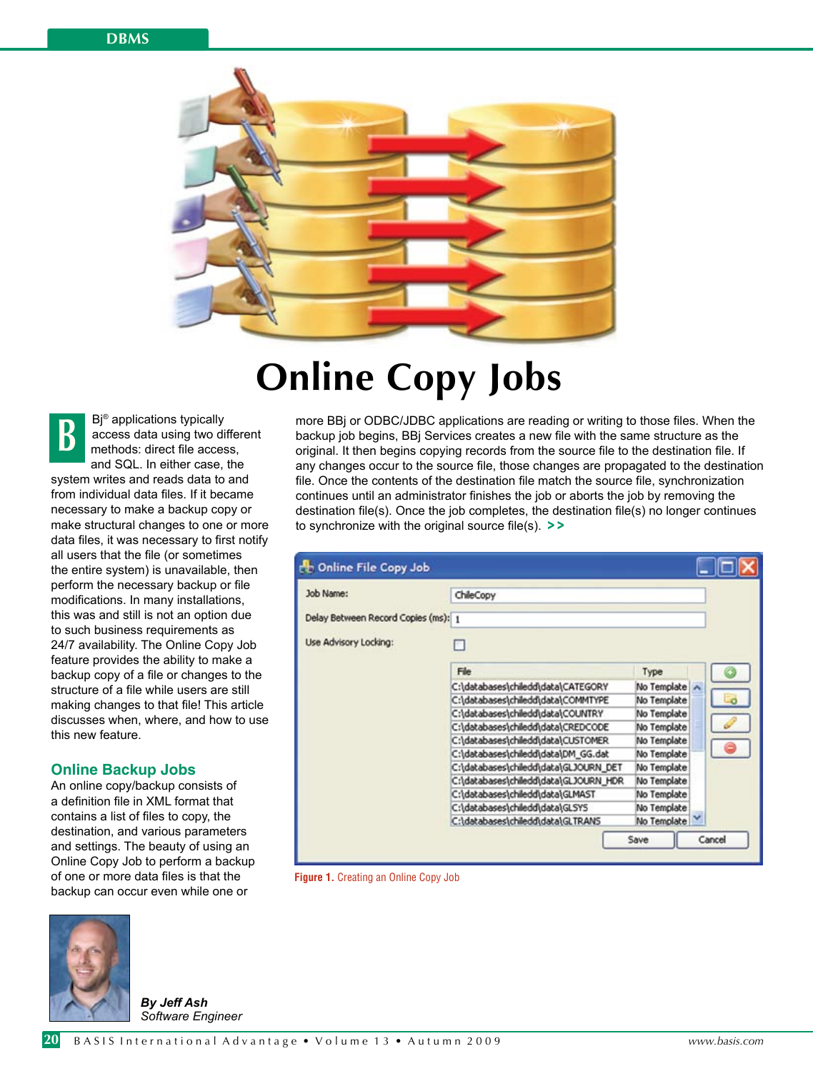

# **Online Copy Jobs**

Bj® applications typically access data using two different methods: direct file access, and SQL. In either case, the system writes and reads data to and from individual data files. If it became necessary to make a backup copy or make structural changes to one or more data files, it was necessary to first notify all users that the file (or sometimes the entire system) is unavailable, then perform the necessary backup or file modifications. In many installations, this was and still is not an option due to such business requirements as 24/7 availability. The Online Copy Job feature provides the ability to make a backup copy of a file or changes to the structure of a file while users are still making changes to that file! This article discusses when, where, and how to use this new feature. **B**

### **Online Backup Jobs**

An online copy/backup consists of a definition file in XML format that contains a list of files to copy, the destination, and various parameters and settings. The beauty of using an Online Copy Job to perform a backup of one or more data files is that the backup can occur even while one or

more BBj or ODBC/JDBC applications are reading or writing to those files. When the backup job begins, BBj Services creates a new file with the same structure as the original. It then begins copying records from the source file to the destination file. If any changes occur to the source file, those changes are propagated to the destination file. Once the contents of the destination file match the source file, synchronization continues until an administrator finishes the job or aborts the job by removing the destination file(s). Once the job completes, the destination file(s) no longer continues to synchronize with the original source file(s). **> >**

| Job Name:                           | ChileCopy                             |             |  |
|-------------------------------------|---------------------------------------|-------------|--|
| Delay Between Record Copies (ms): 1 |                                       |             |  |
| Use Advisory Locking:               |                                       |             |  |
|                                     | File                                  | Type        |  |
|                                     | C:\databases\chiledd\data\CATEGORY    | No Template |  |
|                                     | C:\databases\chiledd\data\COMMTYPE    | No Template |  |
|                                     | C:\databases\chiledd\data\COUNTRY     | No Template |  |
|                                     | C:\databases\chiledd\data\CREDCODE    | No Template |  |
|                                     | C:\databases\chiledd\data\CUSTOMER    | No Template |  |
|                                     | C:\databases\chiledd\data\DM_GG.dat   | No Template |  |
|                                     | C:\databases\chiledd\data\GLJOURN_DET | No Template |  |
|                                     | C:\databases\chiledd\data\GLJOURN_HDR | No Template |  |
|                                     | C:\databases\chiledd\data\GLMAST      | No Template |  |
|                                     | C:\databases\chiledd\data\GLSYS       | No Template |  |
|                                     | C:\databases\chiledd\data\GLTRAN5     | No Template |  |

**Figure 1.** Creating an Online Copy Job



*By Jeff Ash Software Engineer*